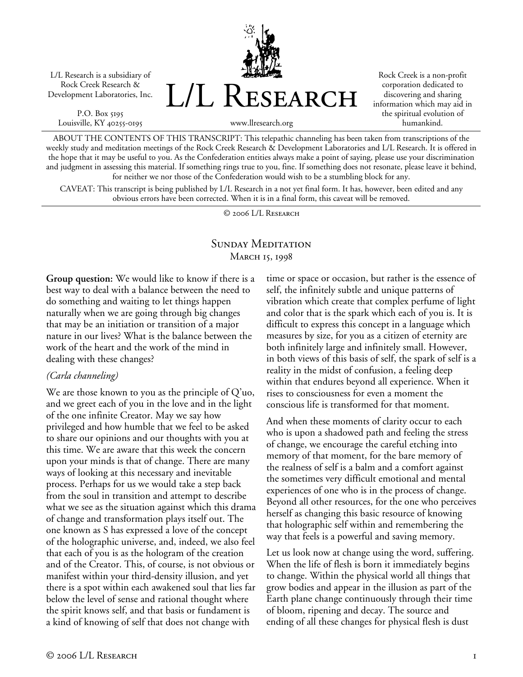L/L Research is a subsidiary of Rock Creek Research & Development Laboratories, Inc.

P.O. Box 5195 Louisville, KY 40255-0195



Rock Creek is a non-profit corporation dedicated to discovering and sharing information which may aid in the spiritual evolution of humankind.

www.llresearch.org

ABOUT THE CONTENTS OF THIS TRANSCRIPT: This telepathic channeling has been taken from transcriptions of the weekly study and meditation meetings of the Rock Creek Research & Development Laboratories and L/L Research. It is offered in the hope that it may be useful to you. As the Confederation entities always make a point of saying, please use your discrimination and judgment in assessing this material. If something rings true to you, fine. If something does not resonate, please leave it behind, for neither we nor those of the Confederation would wish to be a stumbling block for any.

CAVEAT: This transcript is being published by L/L Research in a not yet final form. It has, however, been edited and any obvious errors have been corrected. When it is in a final form, this caveat will be removed.

© 2006 L/L Research

## SUNDAY MEDITATION MARCH 15, 1998

**Group question:** We would like to know if there is a best way to deal with a balance between the need to do something and waiting to let things happen naturally when we are going through big changes that may be an initiation or transition of a major nature in our lives? What is the balance between the work of the heart and the work of the mind in dealing with these changes?

## *(Carla channeling)*

We are those known to you as the principle of Q'uo, and we greet each of you in the love and in the light of the one infinite Creator. May we say how privileged and how humble that we feel to be asked to share our opinions and our thoughts with you at this time. We are aware that this week the concern upon your minds is that of change. There are many ways of looking at this necessary and inevitable process. Perhaps for us we would take a step back from the soul in transition and attempt to describe what we see as the situation against which this drama of change and transformation plays itself out. The one known as S has expressed a love of the concept of the holographic universe, and, indeed, we also feel that each of you is as the hologram of the creation and of the Creator. This, of course, is not obvious or manifest within your third-density illusion, and yet there is a spot within each awakened soul that lies far below the level of sense and rational thought where the spirit knows self, and that basis or fundament is a kind of knowing of self that does not change with

time or space or occasion, but rather is the essence of self, the infinitely subtle and unique patterns of vibration which create that complex perfume of light and color that is the spark which each of you is. It is difficult to express this concept in a language which measures by size, for you as a citizen of eternity are both infinitely large and infinitely small. However, in both views of this basis of self, the spark of self is a reality in the midst of confusion, a feeling deep within that endures beyond all experience. When it rises to consciousness for even a moment the conscious life is transformed for that moment.

And when these moments of clarity occur to each who is upon a shadowed path and feeling the stress of change, we encourage the careful etching into memory of that moment, for the bare memory of the realness of self is a balm and a comfort against the sometimes very difficult emotional and mental experiences of one who is in the process of change. Beyond all other resources, for the one who perceives herself as changing this basic resource of knowing that holographic self within and remembering the way that feels is a powerful and saving memory.

Let us look now at change using the word, suffering. When the life of flesh is born it immediately begins to change. Within the physical world all things that grow bodies and appear in the illusion as part of the Earth plane change continuously through their time of bloom, ripening and decay. The source and ending of all these changes for physical flesh is dust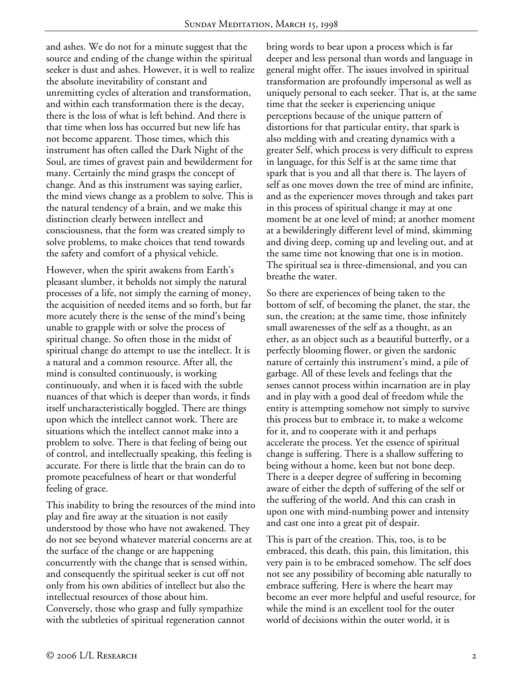and ashes. We do not for a minute suggest that the source and ending of the change within the spiritual seeker is dust and ashes. However, it is well to realize the absolute inevitability of constant and unremitting cycles of alteration and transformation, and within each transformation there is the decay, there is the loss of what is left behind. And there is that time when loss has occurred but new life has not become apparent. Those times, which this instrument has often called the Dark Night of the Soul, are times of gravest pain and bewilderment for many. Certainly the mind grasps the concept of change. And as this instrument was saying earlier, the mind views change as a problem to solve. This is the natural tendency of a brain, and we make this distinction clearly between intellect and consciousness, that the form was created simply to solve problems, to make choices that tend towards the safety and comfort of a physical vehicle.

However, when the spirit awakens from Earth's pleasant slumber, it beholds not simply the natural processes of a life, not simply the earning of money, the acquisition of needed items and so forth, but far more acutely there is the sense of the mind's being unable to grapple with or solve the process of spiritual change. So often those in the midst of spiritual change do attempt to use the intellect. It is a natural and a common resource. After all, the mind is consulted continuously, is working continuously, and when it is faced with the subtle nuances of that which is deeper than words, it finds itself uncharacteristically boggled. There are things upon which the intellect cannot work. There are situations which the intellect cannot make into a problem to solve. There is that feeling of being out of control, and intellectually speaking, this feeling is accurate. For there is little that the brain can do to promote peacefulness of heart or that wonderful feeling of grace.

This inability to bring the resources of the mind into play and fire away at the situation is not easily understood by those who have not awakened. They do not see beyond whatever material concerns are at the surface of the change or are happening concurrently with the change that is sensed within, and consequently the spiritual seeker is cut off not only from his own abilities of intellect but also the intellectual resources of those about him. Conversely, those who grasp and fully sympathize with the subtleties of spiritual regeneration cannot

bring words to bear upon a process which is far deeper and less personal than words and language in general might offer. The issues involved in spiritual transformation are profoundly impersonal as well as uniquely personal to each seeker. That is, at the same time that the seeker is experiencing unique perceptions because of the unique pattern of distortions for that particular entity, that spark is also melding with and creating dynamics with a greater Self, which process is very difficult to express in language, for this Self is at the same time that spark that is you and all that there is. The layers of self as one moves down the tree of mind are infinite, and as the experiencer moves through and takes part in this process of spiritual change it may at one moment be at one level of mind; at another moment at a bewilderingly different level of mind, skimming and diving deep, coming up and leveling out, and at the same time not knowing that one is in motion. The spiritual sea is three-dimensional, and you can breathe the water.

So there are experiences of being taken to the bottom of self, of becoming the planet, the star, the sun, the creation; at the same time, those infinitely small awarenesses of the self as a thought, as an ether, as an object such as a beautiful butterfly, or a perfectly blooming flower, or given the sardonic nature of certainly this instrument's mind, a pile of garbage. All of these levels and feelings that the senses cannot process within incarnation are in play and in play with a good deal of freedom while the entity is attempting somehow not simply to survive this process but to embrace it, to make a welcome for it, and to cooperate with it and perhaps accelerate the process. Yet the essence of spiritual change is suffering. There is a shallow suffering to being without a home, keen but not bone deep. There is a deeper degree of suffering in becoming aware of either the depth of suffering of the self or the suffering of the world. And this can crash in upon one with mind-numbing power and intensity and cast one into a great pit of despair.

This is part of the creation. This, too, is to be embraced, this death, this pain, this limitation, this very pain is to be embraced somehow. The self does not see any possibility of becoming able naturally to embrace suffering. Here is where the heart may become an ever more helpful and useful resource, for while the mind is an excellent tool for the outer world of decisions within the outer world, it is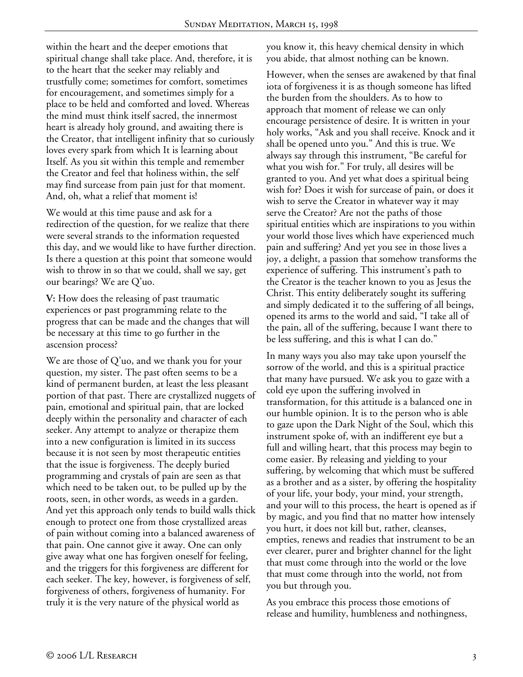within the heart and the deeper emotions that spiritual change shall take place. And, therefore, it is to the heart that the seeker may reliably and trustfully come; sometimes for comfort, sometimes for encouragement, and sometimes simply for a place to be held and comforted and loved. Whereas the mind must think itself sacred, the innermost heart is already holy ground, and awaiting there is the Creator, that intelligent infinity that so curiously loves every spark from which It is learning about Itself. As you sit within this temple and remember the Creator and feel that holiness within, the self may find surcease from pain just for that moment. And, oh, what a relief that moment is!

We would at this time pause and ask for a redirection of the question, for we realize that there were several strands to the information requested this day, and we would like to have further direction. Is there a question at this point that someone would wish to throw in so that we could, shall we say, get our bearings? We are Q'uo.

**V:** How does the releasing of past traumatic experiences or past programming relate to the progress that can be made and the changes that will be necessary at this time to go further in the ascension process?

We are those of Q'uo, and we thank you for your question, my sister. The past often seems to be a kind of permanent burden, at least the less pleasant portion of that past. There are crystallized nuggets of pain, emotional and spiritual pain, that are locked deeply within the personality and character of each seeker. Any attempt to analyze or therapize them into a new configuration is limited in its success because it is not seen by most therapeutic entities that the issue is forgiveness. The deeply buried programming and crystals of pain are seen as that which need to be taken out, to be pulled up by the roots, seen, in other words, as weeds in a garden. And yet this approach only tends to build walls thick enough to protect one from those crystallized areas of pain without coming into a balanced awareness of that pain. One cannot give it away. One can only give away what one has forgiven oneself for feeling, and the triggers for this forgiveness are different for each seeker. The key, however, is forgiveness of self, forgiveness of others, forgiveness of humanity. For truly it is the very nature of the physical world as

you know it, this heavy chemical density in which you abide, that almost nothing can be known.

However, when the senses are awakened by that final iota of forgiveness it is as though someone has lifted the burden from the shoulders. As to how to approach that moment of release we can only encourage persistence of desire. It is written in your holy works, "Ask and you shall receive. Knock and it shall be opened unto you." And this is true. We always say through this instrument, "Be careful for what you wish for." For truly, all desires will be granted to you. And yet what does a spiritual being wish for? Does it wish for surcease of pain, or does it wish to serve the Creator in whatever way it may serve the Creator? Are not the paths of those spiritual entities which are inspirations to you within your world those lives which have experienced much pain and suffering? And yet you see in those lives a joy, a delight, a passion that somehow transforms the experience of suffering. This instrument's path to the Creator is the teacher known to you as Jesus the Christ. This entity deliberately sought its suffering and simply dedicated it to the suffering of all beings, opened its arms to the world and said, "I take all of the pain, all of the suffering, because I want there to be less suffering, and this is what I can do."

In many ways you also may take upon yourself the sorrow of the world, and this is a spiritual practice that many have pursued. We ask you to gaze with a cold eye upon the suffering involved in transformation, for this attitude is a balanced one in our humble opinion. It is to the person who is able to gaze upon the Dark Night of the Soul, which this instrument spoke of, with an indifferent eye but a full and willing heart, that this process may begin to come easier. By releasing and yielding to your suffering, by welcoming that which must be suffered as a brother and as a sister, by offering the hospitality of your life, your body, your mind, your strength, and your will to this process, the heart is opened as if by magic, and you find that no matter how intensely you hurt, it does not kill but, rather, cleanses, empties, renews and readies that instrument to be an ever clearer, purer and brighter channel for the light that must come through into the world or the love that must come through into the world, not from you but through you.

As you embrace this process those emotions of release and humility, humbleness and nothingness,